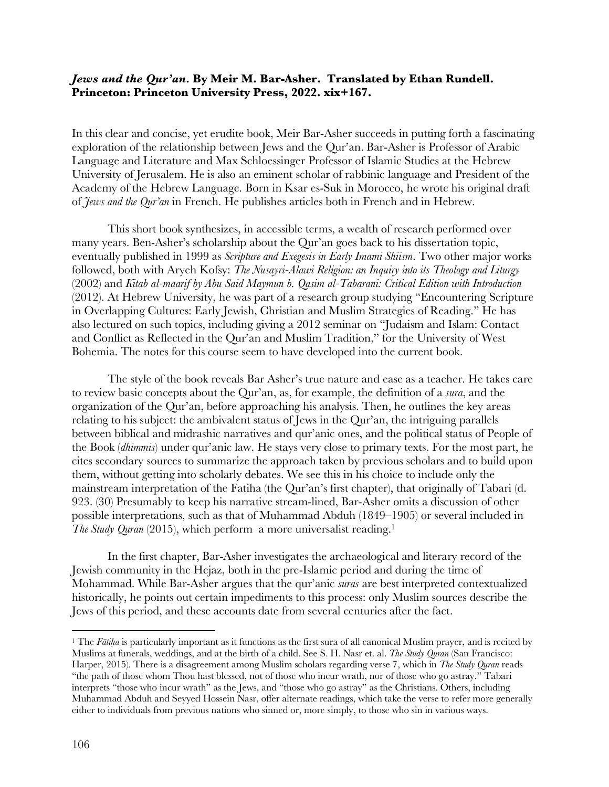## *Jews and the Qur'an.* **By Meir M. Bar-Asher. Translated by Ethan Rundell. Princeton: Princeton University Press, 2022. xix+167.**

In this clear and concise, yet erudite book, Meir Bar-Asher succeeds in putting forth a fascinating exploration of the relationship between Jews and the Qur'an. Bar-Asher is Professor of Arabic Language and Literature and Max Schloessinger Professor of Islamic Studies at the Hebrew University of Jerusalem. He is also an eminent scholar of rabbinic language and President of the Academy of the Hebrew Language. Born in Ksar es-Suk in Morocco, he wrote his original draft of *Jews and the Qur'an* in French. He publishes articles both in French and in Hebrew.

This short book synthesizes, in accessible terms, a wealth of research performed over many years. Ben-Asher's scholarship about the Qur'an goes back to his dissertation topic, eventually published in 1999 as *Scripture and Exegesis in Early Imami Shiism*. Two other major works followed, both with Aryeh Kofsy: *The Nusayri-Alawi Religion: an Inquiry into its Theology and Liturgy* (2002) and *Kitab al-maarif by Abu Said Maymun b. Qasim al-Tabarani: Critical Edition with Introduction* (2012). At Hebrew University, he was part of a research group studying "Encountering Scripture in Overlapping Cultures: Early Jewish, Christian and Muslim Strategies of Reading." He has also lectured on such topics, including giving a 2012 seminar on "Judaism and Islam: Contact and Conflict as Reflected in the Qur'an and Muslim Tradition," for the University of West Bohemia. The notes for this course seem to have developed into the current book.

The style of the book reveals Bar Asher's true nature and ease as a teacher. He takes care to review basic concepts about the Qur'an, as, for example, the definition of a *sura*, and the organization of the Qur'an, before approaching his analysis. Then, he outlines the key areas relating to his subject: the ambivalent status of Jews in the Qur'an, the intriguing parallels between biblical and midrashic narratives and qur'anic ones, and the political status of People of the Book (*dhimmis*) under qur'anic law. He stays very close to primary texts. For the most part, he cites secondary sources to summarize the approach taken by previous scholars and to build upon them, without getting into scholarly debates. We see this in his choice to include only the mainstream interpretation of the Fatiha (the Qur'an's first chapter), that originally of Tabari (d. 923. (30) Presumably to keep his narrative stream-lined, Bar-Asher omits a discussion of other possible interpretations, such as that of Muhammad Abduh (1849–1905) or several included in *The Study Quran* (2015), which perform a more universalist reading.<sup>1</sup>

In the first chapter, Bar-Asher investigates the archaeological and literary record of the Jewish community in the Hejaz, both in the pre-Islamic period and during the time of Mohammad. While Bar-Asher argues that the qur'anic *suras* are best interpreted contextualized historically, he points out certain impediments to this process: only Muslim sources describe the Jews of this period, and these accounts date from several centuries after the fact.

<sup>&</sup>lt;sup>1</sup> The *Fatiha* is particularly important as it functions as the first sura of all canonical Muslim prayer, and is recited by Muslims at funerals, weddings, and at the birth of a child. See S. H. Nasr et. al. *The Study Quran* (San Francisco: Harper, 2015). There is a disagreement among Muslim scholars regarding verse 7, which in *The Study Quran* reads "the path of those whom Thou hast blessed, not of those who incur wrath, nor of those who go astray." Tabari interprets "those who incur wrath" as the Jews, and "those who go astray" as the Christians. Others, including Muhammad Abduh and Seyyed Hossein Nasr, offer alternate readings, which take the verse to refer more generally either to individuals from previous nations who sinned or, more simply, to those who sin in various ways.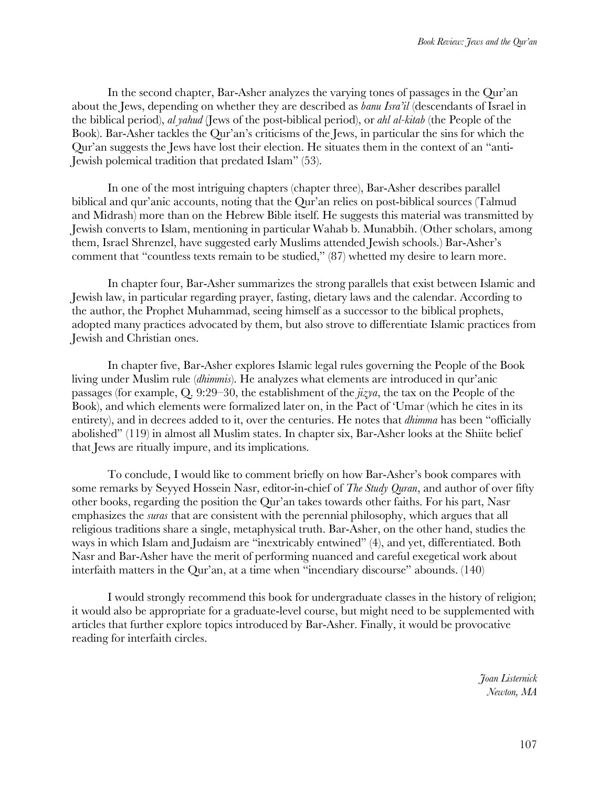In the second chapter, Bar-Asher analyzes the varying tones of passages in the Qur'an about the Jews, depending on whether they are described as *banu Isra'il* (descendants of Israel in the biblical period), *al yahud* (Jews of the post-biblical period), or *ahl al-kitab* (the People of the Book). Bar-Asher tackles the Qur'an's criticisms of the Jews, in particular the sins for which the Qur'an suggests the Jews have lost their election. He situates them in the context of an "anti-Jewish polemical tradition that predated Islam" (53).

In one of the most intriguing chapters (chapter three), Bar-Asher describes parallel biblical and qur'anic accounts, noting that the Qur'an relies on post-biblical sources (Talmud and Midrash) more than on the Hebrew Bible itself. He suggests this material was transmitted by Jewish converts to Islam, mentioning in particular Wahab b. Munabbih. (Other scholars, among them, Israel Shrenzel, have suggested early Muslims attended Jewish schools.) Bar-Asher's comment that "countless texts remain to be studied," (87) whetted my desire to learn more.

In chapter four, Bar-Asher summarizes the strong parallels that exist between Islamic and Jewish law, in particular regarding prayer, fasting, dietary laws and the calendar. According to the author, the Prophet Muhammad, seeing himself as a successor to the biblical prophets, adopted many practices advocated by them, but also strove to differentiate Islamic practices from Jewish and Christian ones.

In chapter five, Bar-Asher explores Islamic legal rules governing the People of the Book living under Muslim rule (*dhimmis*). He analyzes what elements are introduced in qur'anic passages (for example, Q. 9:29–30, the establishment of the *jizya*, the tax on the People of the Book), and which elements were formalized later on, in the Pact of 'Umar (which he cites in its entirety), and in decrees added to it, over the centuries. He notes that *dhimma* has been "officially abolished" (119) in almost all Muslim states. In chapter six, Bar-Asher looks at the Shiite belief that Jews are ritually impure, and its implications.

To conclude, I would like to comment briefly on how Bar-Asher's book compares with some remarks by Seyyed Hossein Nasr, editor-in-chief of *The Study Quran*, and author of over fifty other books, regarding the position the Qur'an takes towards other faiths. For his part, Nasr emphasizes the *suras* that are consistent with the perennial philosophy, which argues that all religious traditions share a single, metaphysical truth. Bar-Asher, on the other hand, studies the ways in which Islam and Judaism are "inextricably entwined" (4), and yet, differentiated. Both Nasr and Bar-Asher have the merit of performing nuanced and careful exegetical work about interfaith matters in the Qur'an, at a time when "incendiary discourse" abounds. (140)

I would strongly recommend this book for undergraduate classes in the history of religion; it would also be appropriate for a graduate-level course, but might need to be supplemented with articles that further explore topics introduced by Bar-Asher. Finally, it would be provocative reading for interfaith circles.

> *Joan Listernick Newton, MA*